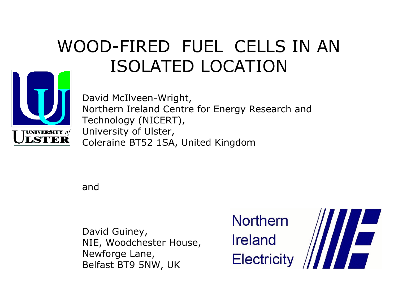# WOOD-FIRED FUEL CELLS IN AN ISOLATED LOCATION



David McIlveen-Wright, Northern Ireland Centre for Energy Research and Technology (NICERT), University of Ulster, Coleraine BT52 1SA, United Kingdom

and

David Guiney, NIE, Woodchester House, Newforge Lane, Belfast BT9 5NW, UK

**Northern** Ireland Electricity

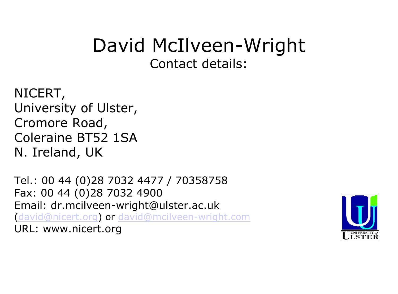# David McIlveen-Wright Contact details:

NICERT, University of Ulster, Cromore Road, Coleraine BT52 1SA N. Ireland, UK

Tel.: 00 44 (0)28 7032 4477 / 70358758 Fax: 00 44 (0)28 7032 4900 Email: dr.mcilveen-wright@[ulster.ac.uk](mcilveen-wright@ulster.ac.uk) ([david@nicert.org\)](david@nicert.org) or <david@mcilveen-wright.com> URL: www.nicert.org

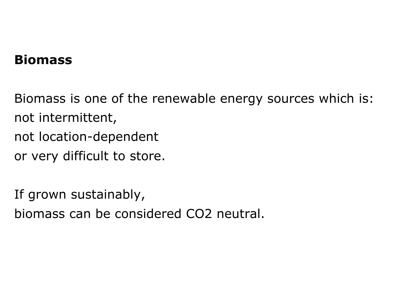### **Biomass**

Biomass is one of the renewable energy sources which is: not intermittent, not location-dependent or very difficult to store.

If grown sustainably,

biomass can be considered CO2 neutral.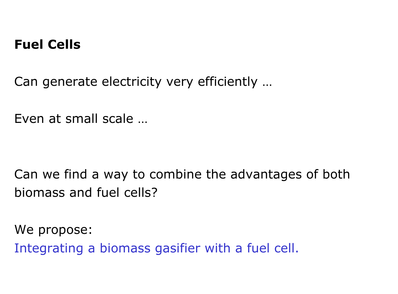### **Fuel Cells**

Can generate electricity very efficiently …

Even at small scale …

Can we find a way to combine the advantages of both biomass and fuel cells?

We propose: Integrating a biomass gasifier with a fuel cell.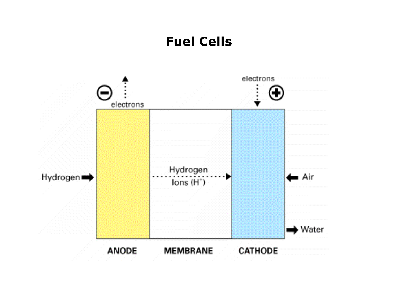### **Fuel Cells**

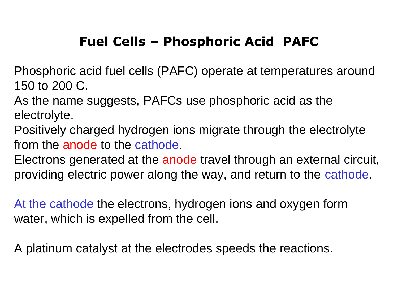# **Fuel Cells – Phosphoric Acid PAFC**

Phosphoric acid fuel cells (PAFC) operate at temperatures around 150 to 200 C.

As the name suggests, PAFCs use phosphoric acid as the electrolyte.

Positively charged hydrogen ions migrate through the electrolyte from the anode to the cathode.

Electrons generated at the anode travel through an external circuit, providing electric power along the way, and return to the cathode.

At the cathode the electrons, hydrogen ions and oxygen form water, which is expelled from the cell.

A platinum catalyst at the electrodes speeds the reactions.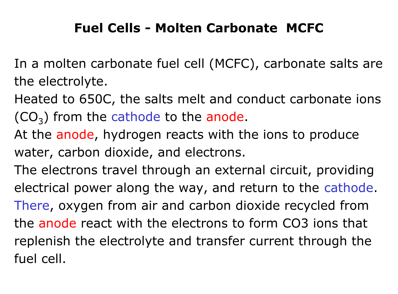# **Fuel Cells - Molten Carbonate MCFC**

- In a molten carbonate fuel cell (MCFC), carbonate salts are the electrolyte.
- Heated to 650C, the salts melt and conduct carbonate ions  $(CO<sub>3</sub>)$  from the cathode to the anode.
- At the anode, hydrogen reacts with the ions to produce water, carbon dioxide, and electrons.
- The electrons travel through an external circuit, providing electrical power along the way, and return to the cathode. There, oxygen from air and carbon dioxide recycled from the anode react with the electrons to form CO3 ions that replenish the electrolyte and transfer current through the fuel cell.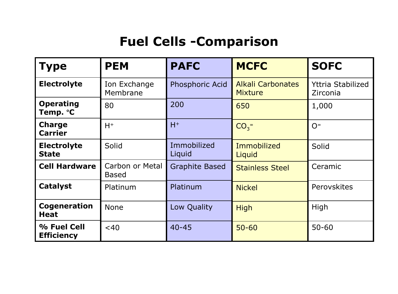# **Fuel Cells -Comparison**

| <b>Type</b>                        | <b>PEM</b>                      | <b>PAFC</b>           | <b>MCFC</b>                                | <b>SOFC</b>                          |
|------------------------------------|---------------------------------|-----------------------|--------------------------------------------|--------------------------------------|
| <b>Electrolyte</b>                 | Ion Exchange<br>Membrane        | Phosphoric Acid       | <b>Alkali Carbonates</b><br><b>Mixture</b> | <b>Yttria Stabilized</b><br>Zirconia |
| <b>Operating</b><br>Temp. °C       | 80                              | 200                   | 650                                        | 1,000                                |
| <b>Charge</b><br><b>Carrier</b>    | $H^+$                           | $H^+$                 | $CO3$ =                                    | $O=$                                 |
| <b>Electrolyte</b><br><b>State</b> | Solid                           | Immobilized<br>Liquid | Immobilized<br>Liquid                      | Solid                                |
| <b>Cell Hardware</b>               | Carbon or Metal<br><b>Based</b> | <b>Graphite Based</b> | <b>Stainless Steel</b>                     | Ceramic                              |
| <b>Catalyst</b>                    | Platinum                        | Platinum              | <b>Nickel</b>                              | Perovskites                          |
| <b>Cogeneration</b><br><b>Heat</b> | <b>None</b>                     | Low Quality           | <b>High</b>                                | High                                 |
| % Fuel Cell<br><b>Efficiency</b>   | $<$ 40                          | $40 - 45$             | $50 - 60$                                  | $50 - 60$                            |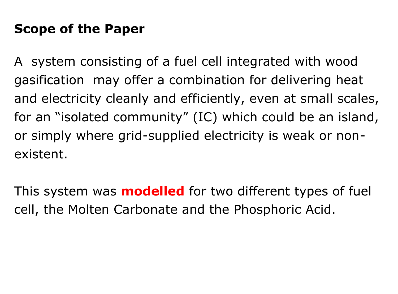# **Scope of the Paper**

A system consisting of a fuel cell integrated with wood gasification may offer a combination for delivering heat and electricity cleanly and efficiently, even at small scales, for an "isolated community" (IC) which could be an island, or simply where grid-supplied electricity is weak or nonexistent.

This system was **modelled** for two different types of fuel cell, the Molten Carbonate and the Phosphoric Acid.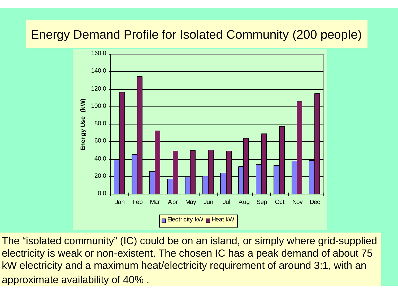### Energy Demand Profile for Isolated Community (200 people)



The "isolated community" (IC) could be on an island, or simply where grid-supplied electricity is weak or non-existent. The chosen IC has a peak demand of about 75 kW electricity and a maximum heat/electricity requirement of around 3:1, with an approximate availability of 40% .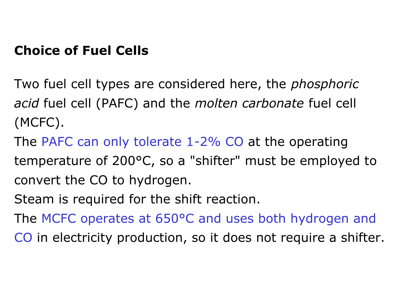## **Choice of Fuel Cells**

Two fuel cell types are considered here, the *phosphoric acid* fuel cell (PAFC) and the *molten carbonate* fuel cell (MCFC).

The PAFC can only tolerate 1-2% CO at the operating temperature of 200°C, so a "shifter" must be employed to convert the CO to hydrogen.

Steam is required for the shift reaction.

The MCFC operates at 650°C and uses both hydrogen and

CO in electricity production, so it does not require a shifter.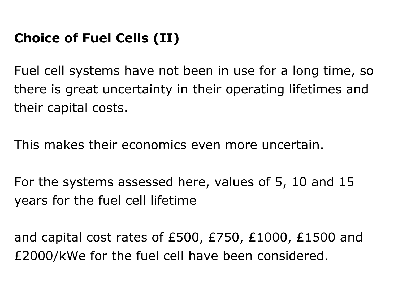# **Choice of Fuel Cells (II)**

Fuel cell systems have not been in use for a long time, so there is great uncertainty in their operating lifetimes and their capital costs.

This makes their economics even more uncertain.

For the systems assessed here, values of 5, 10 and 15 years for the fuel cell lifetime

and capital cost rates of £500, £750, £1000, £1500 and £2000/kWe for the fuel cell have been considered.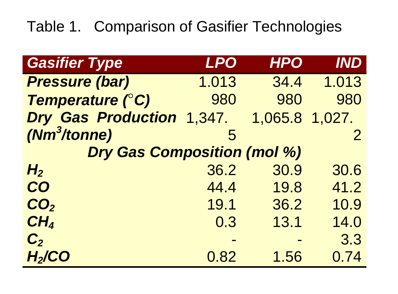# Table 1. Comparison of Gasifier Technologies

| <b>Gasifier Type</b>               | <b>LPO</b> | <b>HPO</b>     | <b>IND</b>     |  |  |
|------------------------------------|------------|----------------|----------------|--|--|
| <b>Pressure (bar)</b>              | 1.013      | 34.4           | 1.013          |  |  |
| <b>Temperature (°C)</b>            | 980        | 980            | 980            |  |  |
| <b>Dry Gas Production</b>          | 1,347.     | 1,065.8 1,027. |                |  |  |
| $(Nm^3/tonne)$                     | 5          |                | $\overline{2}$ |  |  |
| <b>Dry Gas Composition (mol %)</b> |            |                |                |  |  |
| H <sub>2</sub>                     | 36.2       | 30.9           | 30.6           |  |  |
| <b>CO</b>                          | 44.4       | 19.8           | 41.2           |  |  |
| CO <sub>2</sub>                    | 19.1       | 36.2           | 10.9           |  |  |
| CH <sub>4</sub>                    | 0.3        | 13.1           | 14.0           |  |  |
| C <sub>2</sub>                     |            |                | 3.3            |  |  |
| H <sub>2</sub> /CO                 | 0.82       | 1.56           | 0.74           |  |  |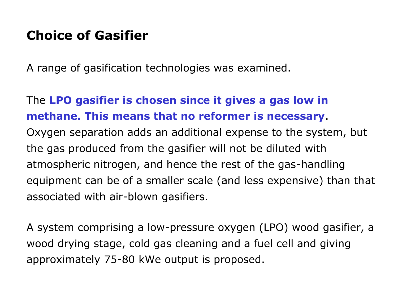## **Choice of Gasifier**

A range of gasification technologies was examined.

### The **LPO gasifier is chosen since it gives a gas low in methane. This means that no reformer is necessary**.

Oxygen separation adds an additional expense to the system, but the gas produced from the gasifier will not be diluted with atmospheric nitrogen, and hence the rest of the gas-handling equipment can be of a smaller scale (and less expensive) than that associated with air-blown gasifiers.

A system comprising a low-pressure oxygen (LPO) wood gasifier, a wood drying stage, cold gas cleaning and a fuel cell and giving approximately 75-80 kWe output is proposed.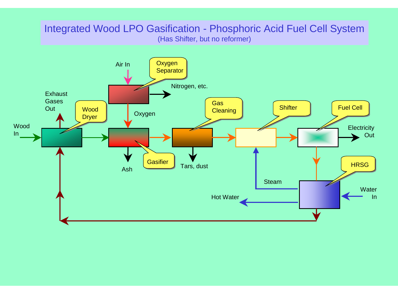#### Integrated Wood LPO Gasification - Phosphoric Acid Fuel Cell System (Has Shifter, but no reformer)

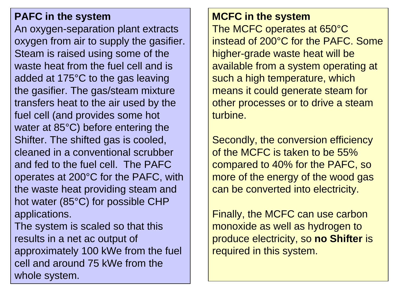### **PAFC in the system**

An oxygen-separation plant extracts oxygen from air to supply the gasifier. Steam is raised using some of the waste heat from the fuel cell and is added at 175°C to the gas leaving the gasifier. The gas/steam mixture transfers heat to the air used by the fuel cell (and provides some hot water at 85°C) before entering the Shifter. The shifted gas is cooled, cleaned in a conventional scrubber and fed to the fuel cell. The PAFC operates at 200°C for the PAFC, with the waste heat providing steam and hot water (85°C) for possible CHP applications.

The system is scaled so that this results in a net ac output of approximately 100 kWe from the fuel cell and around 75 kWe from the whole system.

#### **MCFC in the system**

The MCFC operates at 650°C instead of 200°C for the PAFC. Some higher-grade waste heat will be available from a system operating at such a high temperature, which means it could generate steam for other processes or to drive a steam turbine.

Secondly, the conversion efficiency of the MCFC is taken to be 55% compared to 40% for the PAFC, so more of the energy of the wood gas can be converted into electricity.

Finally, the MCFC can use carbon monoxide as well as hydrogen to produce electricity, so **no Shifter** is required in this system.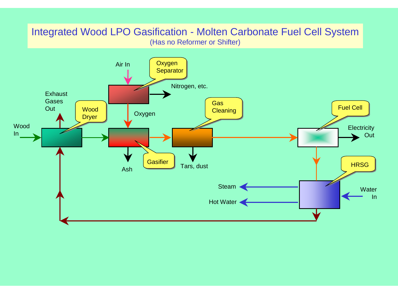#### Integrated Wood LPO Gasification - Molten Carbonate Fuel Cell System (Has no Reformer or Shifter)

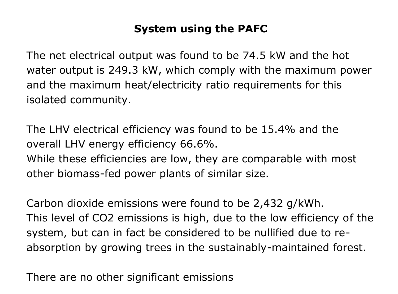### **System using the PAFC**

The net electrical output was found to be 74.5 kW and the hot water output is 249.3 kW, which comply with the maximum power and the maximum heat/electricity ratio requirements for this isolated community.

The LHV electrical efficiency was found to be 15.4% and the overall LHV energy efficiency 66.6%. While these efficiencies are low, they are comparable with most other biomass-fed power plants of similar size.

Carbon dioxide emissions were found to be 2,432 g/kWh. This level of CO2 emissions is high, due to the low efficiency of the system, but can in fact be considered to be nullified due to reabsorption by growing trees in the sustainably-maintained forest.

There are no other significant emissions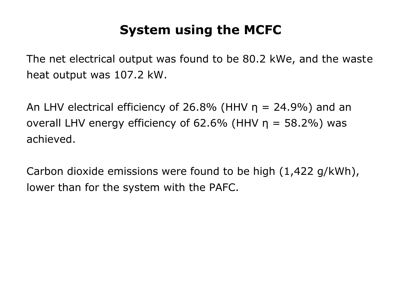# **System using the MCFC**

The net electrical output was found to be 80.2 kWe, and the waste heat output was 107.2 kW.

An LHV electrical efficiency of 26.8% (HHV  $\eta$  = 24.9%) and an overall LHV energy efficiency of 62.6% (HHV  $\eta = 58.2\%$ ) was achieved.

Carbon dioxide emissions were found to be high (1,422 g/kWh), lower than for the system with the PAFC.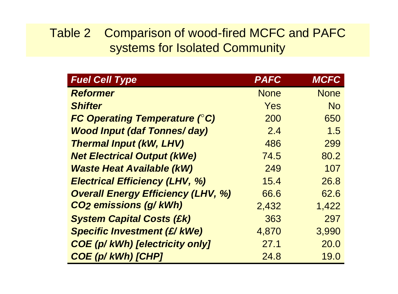### Table 2 Comparison of wood-fired MCFC and PAFC systems for Isolated Community

| <b>Fuel Cell Type</b>                     | <b>PAFC</b> | <b>MCFC</b> |
|-------------------------------------------|-------------|-------------|
| <b>Reformer</b>                           | <b>None</b> | <b>None</b> |
| <b>Shifter</b>                            | Yes         | <b>No</b>   |
| <b>FC Operating Temperature (°C)</b>      | 200         | 650         |
| <b>Wood Input (daf Tonnes/day)</b>        | 2.4         | 1.5         |
| <b>Thermal Input (kW, LHV)</b>            | 486         | 299         |
| <b>Net Electrical Output (kWe)</b>        | 74.5        | 80.2        |
| <b>Waste Heat Available (kW)</b>          | 249         | 107         |
| <b>Electrical Efficiency (LHV, %)</b>     | 15.4        | 26.8        |
| <b>Overall Energy Efficiency (LHV, %)</b> | 66.6        | 62.6        |
| <b>CO<sub>2</sub></b> emissions (g/kWh)   | 2,432       | 1,422       |
| <b>System Capital Costs (£k)</b>          | 363         | 297         |
| <b>Specific Investment (£/ kWe)</b>       | 4,870       | 3,990       |
| <b>COE (p/ kWh) [electricity only]</b>    | 27.1        | 20.0        |
| <b>COE (p/ kWh) [CHP]</b>                 | 24.8        | 19.0        |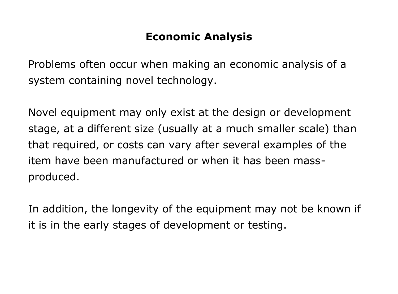### **Economic Analysis**

Problems often occur when making an economic analysis of a system containing novel technology.

Novel equipment may only exist at the design or development stage, at a different size (usually at a much smaller scale) than that required, or costs can vary after several examples of the item have been manufactured or when it has been massproduced.

In addition, the longevity of the equipment may not be known if it is in the early stages of development or testing.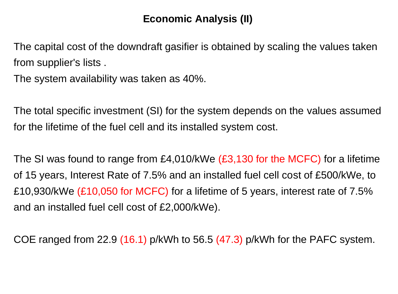### **Economic Analysis (II)**

The capital cost of the downdraft gasifier is obtained by scaling the values taken from supplier's lists .

The system availability was taken as 40%.

The total specific investment (SI) for the system depends on the values assumed for the lifetime of the fuel cell and its installed system cost.

The SI was found to range from £4,010/kWe (£3,130 for the MCFC) for a lifetime of 15 years, Interest Rate of 7.5% and an installed fuel cell cost of £500/kWe, to £10,930/kWe (£10,050 for MCFC) for a lifetime of 5 years, interest rate of 7.5% and an installed fuel cell cost of £2,000/kWe).

COE ranged from 22.9 (16.1) p/kWh to 56.5 (47.3) p/kWh for the PAFC system.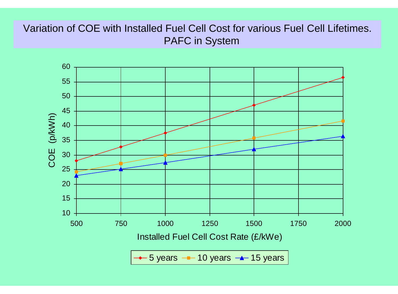### Variation of COE with Installed Fuel Cell Cost for various Fuel Cell Lifetimes. PAFC in System



5 years  $-$  10 years  $-$  15 years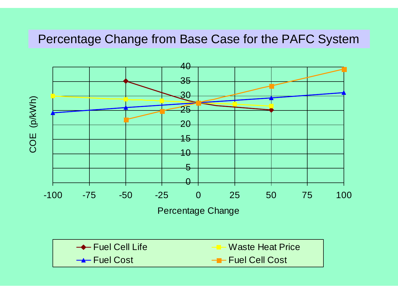### Percentage Change from Base Case for the PAFC System

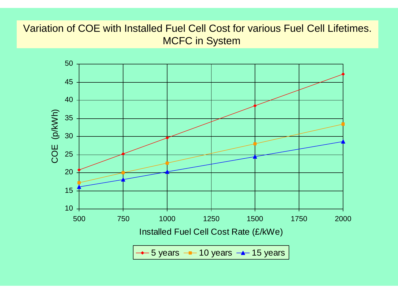### Variation of COE with Installed Fuel Cell Cost for various Fuel Cell Lifetimes. MCFC in System

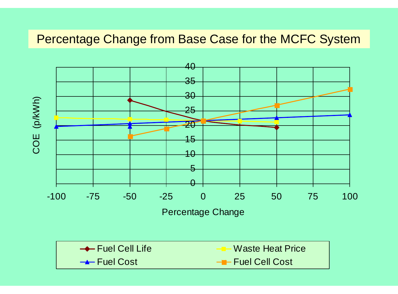### Percentage Change from Base Case for the MCFC System

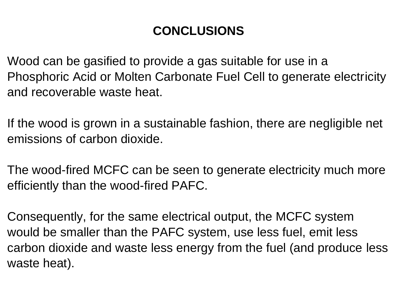# **CONCLUSIONS**

Wood can be gasified to provide a gas suitable for use in a Phosphoric Acid or Molten Carbonate Fuel Cell to generate electricity and recoverable waste heat.

If the wood is grown in a sustainable fashion, there are negligible net emissions of carbon dioxide.

The wood-fired MCFC can be seen to generate electricity much more efficiently than the wood-fired PAFC.

Consequently, for the same electrical output, the MCFC system would be smaller than the PAFC system, use less fuel, emit less carbon dioxide and waste less energy from the fuel (and produce less waste heat).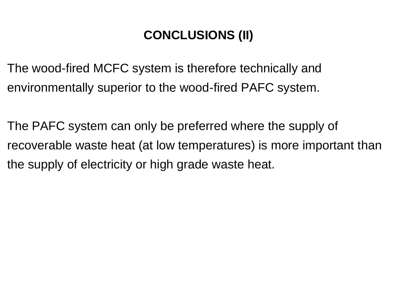# **CONCLUSIONS (II)**

The wood-fired MCFC system is therefore technically and environmentally superior to the wood-fired PAFC system.

The PAFC system can only be preferred where the supply of recoverable waste heat (at low temperatures) is more important than the supply of electricity or high grade waste heat.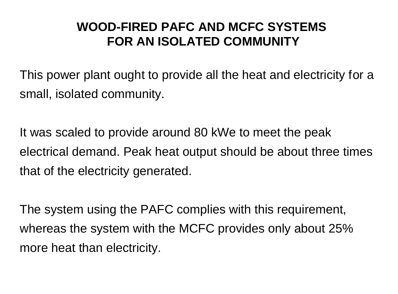### **WOOD-FIRED PAFC AND MCFC SYSTEMS FOR AN ISOLATED COMMUNITY**

This power plant ought to provide all the heat and electricity for a small, isolated community.

It was scaled to provide around 80 kWe to meet the peak electrical demand. Peak heat output should be about three times that of the electricity generated.

The system using the PAFC complies with this requirement, whereas the system with the MCFC provides only about 25% more heat than electricity.